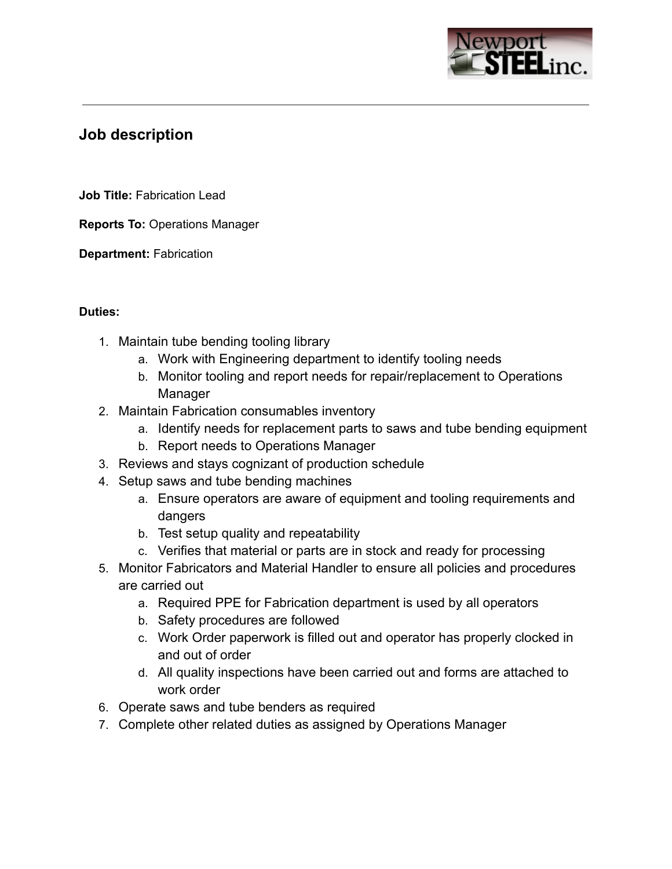

# **Job description**

**Job Title:** Fabrication Lead

**Reports To:** Operations Manager

**Department:** Fabrication

## **Duties:**

- 1. Maintain tube bending tooling library
	- a. Work with Engineering department to identify tooling needs
	- b. Monitor tooling and report needs for repair/replacement to Operations Manager
- 2. Maintain Fabrication consumables inventory
	- a. Identify needs for replacement parts to saws and tube bending equipment
	- b. Report needs to Operations Manager
- 3. Reviews and stays cognizant of production schedule
- 4. Setup saws and tube bending machines
	- a. Ensure operators are aware of equipment and tooling requirements and dangers
	- b. Test setup quality and repeatability
	- c. Verifies that material or parts are in stock and ready for processing
- 5. Monitor Fabricators and Material Handler to ensure all policies and procedures are carried out
	- a. Required PPE for Fabrication department is used by all operators
	- b. Safety procedures are followed
	- c. Work Order paperwork is filled out and operator has properly clocked in and out of order
	- d. All quality inspections have been carried out and forms are attached to work order
- 6. Operate saws and tube benders as required
- 7. Complete other related duties as assigned by Operations Manager